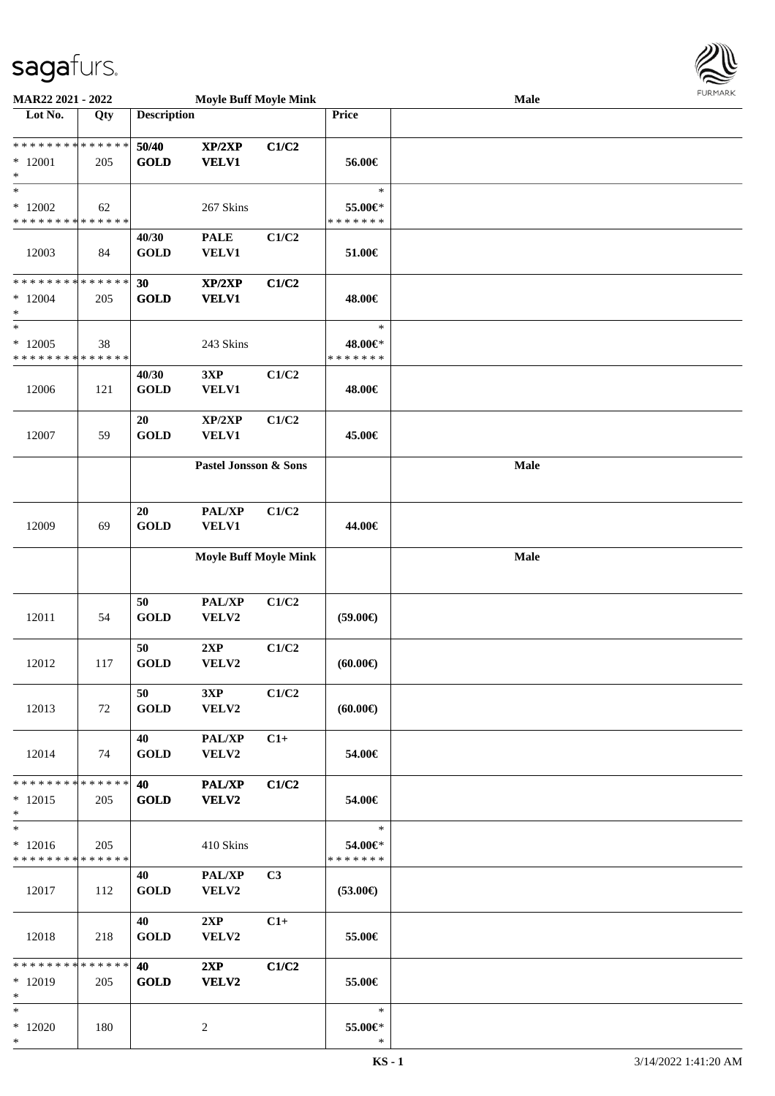

| MAR22 2021 - 2022                                 |     |                      | <b>Moyle Buff Moyle Mink</b> |                |                                    | <b>Male</b> |  |
|---------------------------------------------------|-----|----------------------|------------------------------|----------------|------------------------------------|-------------|--|
| Lot No.                                           | Qty | <b>Description</b>   |                              |                | Price                              |             |  |
| * * * * * * * * * * * * * *<br>$*12001$<br>$\ast$ | 205 | 50/40<br><b>GOLD</b> | XP/2XP<br><b>VELV1</b>       | C1/C2          | 56.00€                             |             |  |
| $\ast$<br>$*12002$<br>* * * * * * * * * * * * * * | 62  |                      | 267 Skins                    |                | $\ast$<br>55.00€*<br>* * * * * * * |             |  |
| 12003                                             | 84  | 40/30<br><b>GOLD</b> | <b>PALE</b><br>VELV1         | C1/C2          | 51.00€                             |             |  |
| * * * * * * * * * * * * * *<br>$*12004$<br>$\ast$ | 205 | 30<br><b>GOLD</b>    | XP/2XP<br><b>VELV1</b>       | C1/C2          | 48.00€                             |             |  |
| $\ast$<br>$*12005$<br>* * * * * * * * * * * * * * | 38  |                      | 243 Skins                    |                | $\ast$<br>48.00€*<br>* * * * * * * |             |  |
| 12006                                             | 121 | 40/30<br><b>GOLD</b> | 3XP<br>VELV1                 | C1/C2          | 48.00€                             |             |  |
| 12007                                             | 59  | 20<br><b>GOLD</b>    | XP/2XP<br>VELV1              | C1/C2          | 45.00€                             |             |  |
|                                                   |     |                      | Pastel Jonsson & Sons        |                |                                    | Male        |  |
| 12009                                             | 69  | 20<br><b>GOLD</b>    | PAL/XP<br>VELV1              | C1/C2          | 44.00€                             |             |  |
|                                                   |     |                      | <b>Moyle Buff Moyle Mink</b> |                |                                    | Male        |  |
| 12011                                             | 54  | 50<br><b>GOLD</b>    | PAL/XP<br>VELV2              | C1/C2          | $(59.00\epsilon)$                  |             |  |
| 12012                                             | 117 | 50<br><b>GOLD</b>    | 2XP<br>VELV2                 | C1/C2          | (60.00)                            |             |  |
| 12013                                             | 72  | 50<br><b>GOLD</b>    | 3XP<br>VELV2                 | C1/C2          | (60.00)                            |             |  |
| 12014                                             | 74  | 40<br><b>GOLD</b>    | PAL/XP<br>VELV2              | $C1+$          | 54.00€                             |             |  |
| * * * * * * * * * * * * * *<br>$*12015$<br>$*$    | 205 | 40<br><b>GOLD</b>    | <b>PAL/XP</b><br>VELV2       | C1/C2          | 54.00€                             |             |  |
| $\ast$<br>$*12016$<br>* * * * * * * * * * * * * * | 205 |                      | 410 Skins                    |                | $\ast$<br>54.00€*<br>* * * * * * * |             |  |
| 12017                                             | 112 | 40<br><b>GOLD</b>    | <b>PAL/XP</b><br>VELV2       | C <sub>3</sub> | $(53.00\epsilon)$                  |             |  |
| 12018                                             | 218 | 40<br><b>GOLD</b>    | 2XP<br>VELV2                 | $C1+$          | 55.00€                             |             |  |
| * * * * * * * * * * * * * *<br>$*12019$<br>$\ast$ | 205 | 40<br><b>GOLD</b>    | 2XP<br><b>VELV2</b>          | C1/C2          | 55.00€                             |             |  |
| $*$<br>$*12020$<br>$*$                            | 180 |                      | $\overline{c}$               |                | $\ast$<br>55.00€*<br>$\ast$        |             |  |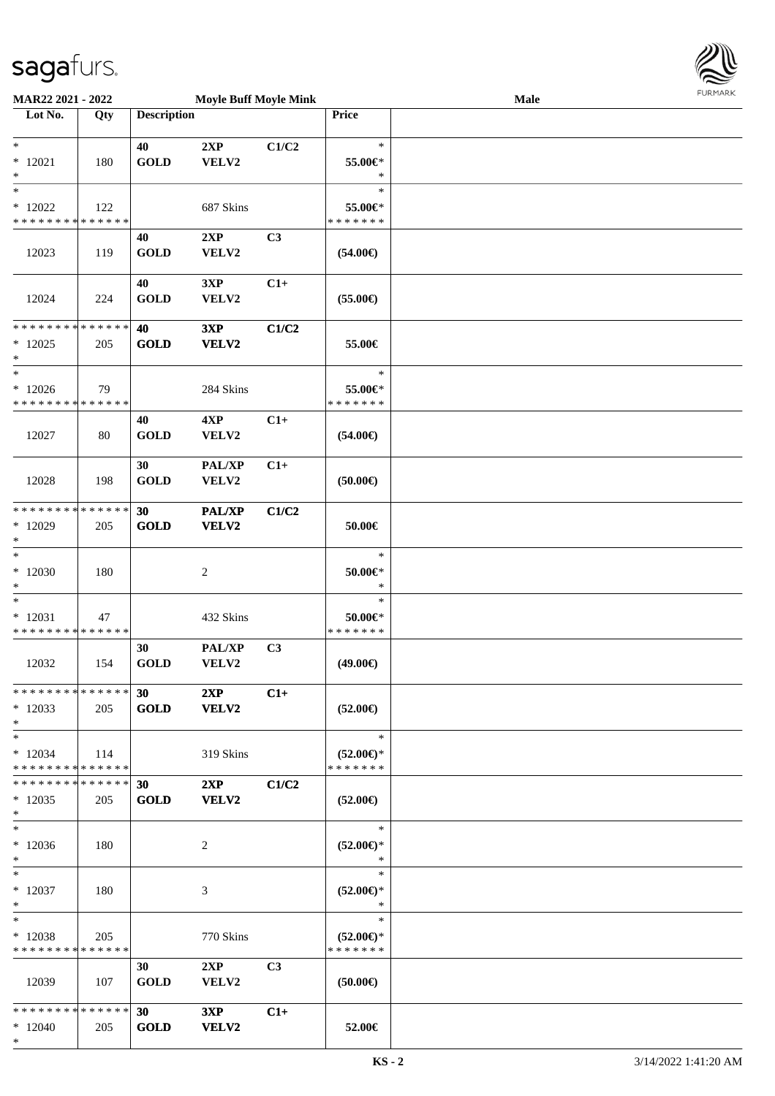\*



| <b>MAR22 2021 - 2022</b>                   |             |                    | <b>Moyle Buff Moyle Mink</b> |                |                                | <b>Male</b> |  |
|--------------------------------------------|-------------|--------------------|------------------------------|----------------|--------------------------------|-------------|--|
| Lot No.                                    | Qty         | <b>Description</b> |                              |                | Price                          |             |  |
|                                            |             |                    |                              |                |                                |             |  |
| $\ast$                                     |             | 40                 | 2XP                          | C1/C2          | $\ast$                         |             |  |
| $*12021$                                   | 180         | <b>GOLD</b>        | VELV2                        |                | 55.00€*                        |             |  |
| $\ast$                                     |             |                    |                              |                | $\ast$                         |             |  |
| $*$                                        |             |                    |                              |                | $\ast$                         |             |  |
| $*12022$                                   | 122         |                    | 687 Skins                    |                | 55.00€*                        |             |  |
| * * * * * * * * * * * * * *                |             |                    |                              |                | * * * * * * *                  |             |  |
|                                            |             | 40                 | 2XP                          | C <sub>3</sub> |                                |             |  |
| 12023                                      | 119         | <b>GOLD</b>        | VELV2                        |                | $(54.00\epsilon)$              |             |  |
|                                            |             |                    |                              |                |                                |             |  |
|                                            |             | 40                 | 3XP                          | $C1+$          |                                |             |  |
| 12024                                      | 224         | <b>GOLD</b>        | VELV2                        |                | $(55.00\epsilon)$              |             |  |
|                                            |             |                    |                              |                |                                |             |  |
| * * * * * * * * * * * * * *                |             | 40                 | 3XP                          | C1/C2          |                                |             |  |
| $*12025$                                   | 205         | <b>GOLD</b>        | VELV2                        |                | 55.00€                         |             |  |
| *                                          |             |                    |                              |                |                                |             |  |
| $*$                                        |             |                    |                              |                | $\ast$                         |             |  |
| $*12026$                                   | 79          |                    | 284 Skins                    |                | 55.00€*                        |             |  |
| * * * * * * * * * * * * * *                |             |                    |                              |                | * * * * * * *                  |             |  |
|                                            |             | 40                 | 4XP                          | $C1+$          |                                |             |  |
| 12027                                      | 80          | <b>GOLD</b>        | VELV2                        |                | $(54.00\epsilon)$              |             |  |
|                                            |             |                    |                              |                |                                |             |  |
|                                            |             | 30                 | PAL/XP                       | $C1+$          |                                |             |  |
| 12028                                      | 198         | <b>GOLD</b>        | VELV2                        |                | $(50.00\epsilon)$              |             |  |
|                                            |             |                    |                              |                |                                |             |  |
| * * * * * * * *                            | * * * * * * | 30                 | <b>PAL/XP</b>                | C1/C2          |                                |             |  |
| $*12029$                                   | 205         | <b>GOLD</b>        | VELV2                        |                | 50.00€                         |             |  |
| $\ast$<br>$\ast$                           |             |                    |                              |                | $\ast$                         |             |  |
|                                            |             |                    |                              |                |                                |             |  |
| $*12030$                                   | 180         |                    | 2                            |                | $50.00 \in$ *<br>$\ast$        |             |  |
| $\ast$<br>$\ast$                           |             |                    |                              |                | $\ast$                         |             |  |
|                                            |             |                    |                              |                |                                |             |  |
| $*12031$<br>* * * * * * * * * * * * * *    | 47          |                    | 432 Skins                    |                | $50.00 \in$ *<br>* * * * * * * |             |  |
|                                            |             | 30                 |                              |                |                                |             |  |
| 12032                                      | 154         | <b>GOLD</b>        | <b>PAL/XP</b><br>VELV2       | C <sub>3</sub> | $(49.00\epsilon)$              |             |  |
|                                            |             |                    |                              |                |                                |             |  |
| ******** <mark>******</mark>               |             | 30 <sup>°</sup>    | 2XP                          | $C1+$          |                                |             |  |
| $*12033$                                   | 205         | <b>GOLD</b>        | <b>VELV2</b>                 |                | $(52.00\epsilon)$              |             |  |
| $\ast$                                     |             |                    |                              |                |                                |             |  |
| $*$                                        |             |                    |                              |                | $\ast$                         |             |  |
| $*12034$                                   | 114         |                    | 319 Skins                    |                | $(52.00\epsilon)$ *            |             |  |
| * * * * * * * * * * * * * * *              |             |                    |                              |                | * * * * * * *                  |             |  |
| * * * * * * * * * * * * * * <mark>*</mark> |             | 30                 | 2XP                          | C1/C2          |                                |             |  |
| $*12035$                                   | 205         | <b>GOLD</b>        | <b>VELV2</b>                 |                | $(52.00\epsilon)$              |             |  |
| $\ast$                                     |             |                    |                              |                |                                |             |  |
| $*$                                        |             |                    |                              |                | $*$                            |             |  |
| $*12036$                                   | 180         |                    | 2                            |                | $(52.00\epsilon)$ *            |             |  |
| $*$                                        |             |                    |                              |                | $\ast$                         |             |  |
| $*$ $-$                                    |             |                    |                              |                | $\ast$                         |             |  |
| $*12037$                                   | 180         |                    | 3                            |                | $(52.00\epsilon)$ *            |             |  |
| $*$                                        |             |                    |                              |                | $\ast$                         |             |  |
| $*$ $-$                                    |             |                    |                              |                | $\ast$                         |             |  |
| $*12038$                                   | 205         |                    | 770 Skins                    |                | $(52.00\epsilon)$ *            |             |  |
| * * * * * * * * * * * * * * *              |             |                    |                              |                | * * * * * * *                  |             |  |
|                                            |             | 30                 | 2XP                          | C <sub>3</sub> |                                |             |  |
| 12039                                      | 107         | <b>GOLD</b>        | <b>VELV2</b>                 |                | $(50.00\epsilon)$              |             |  |
|                                            |             |                    |                              |                |                                |             |  |
| * * * * * * * * * * * * * * <mark>*</mark> |             | 30                 | 3XP                          | $C1+$          |                                |             |  |
| $*12040$                                   | 205         | <b>GOLD</b>        | <b>VELV2</b>                 |                | 52.00€                         |             |  |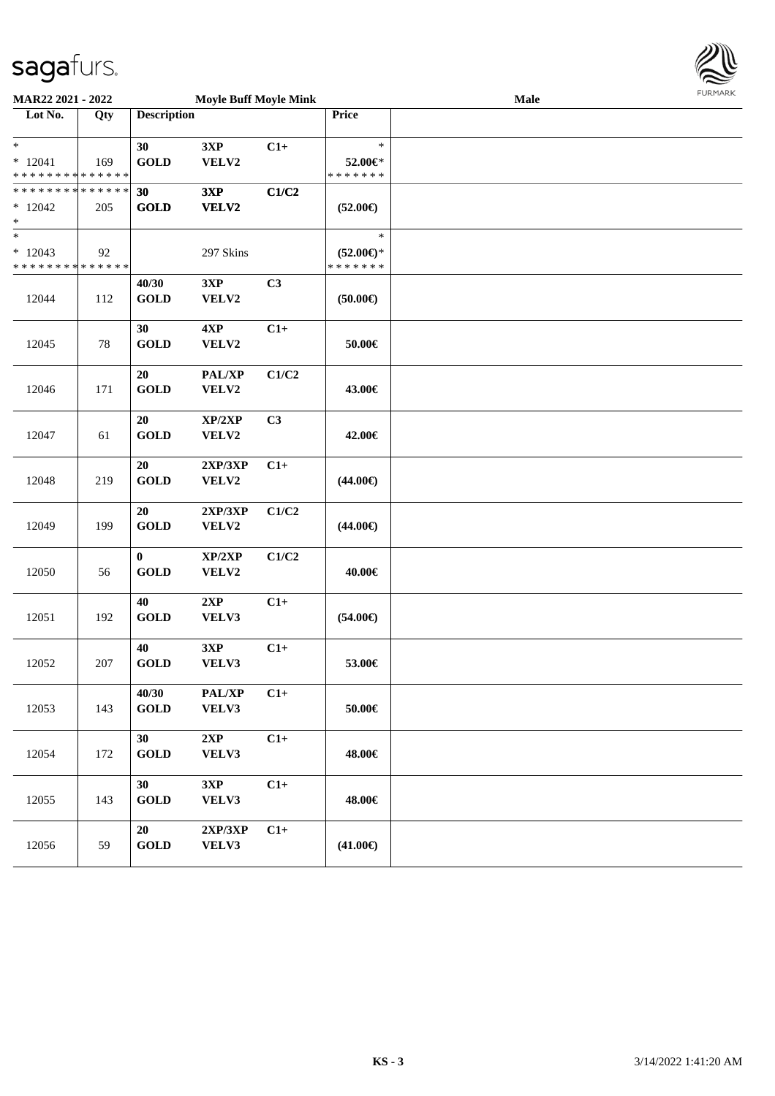

| MAR22 2021 - 2022           |     |                    | <b>Moyle Buff Moyle Mink</b> |       | Male                |  |  |  |  |
|-----------------------------|-----|--------------------|------------------------------|-------|---------------------|--|--|--|--|
| Lot No.                     | Qty | <b>Description</b> |                              |       | Price               |  |  |  |  |
| $\ast$                      |     | 30                 | 3XP                          | $C1+$ | $\ast$              |  |  |  |  |
| $*12041$                    | 169 | <b>GOLD</b>        | VELV2                        |       | 52.00€*             |  |  |  |  |
| * * * * * * * * * * * * * * |     |                    |                              |       | * * * * * * *       |  |  |  |  |
| * * * * * * * * * * * * * * |     | 30                 | 3XP                          | C1/C2 |                     |  |  |  |  |
| $*12042$                    | 205 | <b>GOLD</b>        | VELV2                        |       | $(52.00\epsilon)$   |  |  |  |  |
| $\ast$                      |     |                    |                              |       |                     |  |  |  |  |
| $\overline{\phantom{a}^*}$  |     |                    |                              |       | $\ast$              |  |  |  |  |
| $*12043$                    | 92  |                    | 297 Skins                    |       | $(52.00\epsilon)$ * |  |  |  |  |
| * * * * * * * * * * * * * * |     |                    |                              |       | * * * * * * *       |  |  |  |  |
|                             |     | 40/30              | 3XP                          | C3    |                     |  |  |  |  |
| 12044                       | 112 | <b>GOLD</b>        | VELV2                        |       | (50.00)             |  |  |  |  |
|                             |     | 30                 | 4XP                          | $C1+$ |                     |  |  |  |  |
| 12045                       | 78  | <b>GOLD</b>        | VELV2                        |       | 50.00€              |  |  |  |  |
|                             |     |                    |                              |       |                     |  |  |  |  |
|                             |     | 20                 | PAL/XP                       | C1/C2 |                     |  |  |  |  |
| 12046                       | 171 | <b>GOLD</b>        | VELV2                        |       | 43.00€              |  |  |  |  |
|                             |     |                    |                              |       |                     |  |  |  |  |
|                             |     | 20                 | XP/2XP                       | C3    |                     |  |  |  |  |
| 12047                       | 61  | <b>GOLD</b>        | VELV2                        |       | 42.00€              |  |  |  |  |
|                             |     |                    |                              |       |                     |  |  |  |  |
|                             |     | 20                 | 2XP/3XP                      | $C1+$ |                     |  |  |  |  |
| 12048                       | 219 | <b>GOLD</b>        | VELV2                        |       | $(44.00\epsilon)$   |  |  |  |  |
|                             |     | 20                 | 2XP/3XP                      | C1/C2 |                     |  |  |  |  |
| 12049                       | 199 | <b>GOLD</b>        | VELV2                        |       | $(44.00\epsilon)$   |  |  |  |  |
|                             |     |                    |                              |       |                     |  |  |  |  |
|                             |     | $\bf{0}$           | XP/2XP                       | C1/C2 |                     |  |  |  |  |
| 12050                       | 56  | <b>GOLD</b>        | VELV2                        |       | 40.00€              |  |  |  |  |
|                             |     |                    |                              |       |                     |  |  |  |  |
|                             |     | 40                 | 2XP                          | $C1+$ |                     |  |  |  |  |
| 12051                       | 192 | <b>GOLD</b>        | VELV3                        |       | $(54.00\epsilon)$   |  |  |  |  |
|                             |     |                    |                              |       |                     |  |  |  |  |
|                             |     | 40                 | 3XP                          | $C1+$ |                     |  |  |  |  |
| 12052                       | 207 | <b>GOLD</b>        | VELV3                        |       | 53.00€              |  |  |  |  |
|                             |     | 40/30              | PAL/XP                       | $C1+$ |                     |  |  |  |  |
| 12053                       | 143 | <b>GOLD</b>        | VELV3                        |       | $50.00\in$          |  |  |  |  |
|                             |     |                    |                              |       |                     |  |  |  |  |
|                             |     | 30 <sup>°</sup>    | 2XP                          | $C1+$ |                     |  |  |  |  |
| 12054                       | 172 | <b>GOLD</b>        | VELV3                        |       | 48.00€              |  |  |  |  |
|                             |     |                    |                              |       |                     |  |  |  |  |
|                             |     | 30                 | 3XP                          | $C1+$ |                     |  |  |  |  |
| 12055                       | 143 | <b>GOLD</b>        | VELV3                        |       | 48.00€              |  |  |  |  |
|                             |     |                    |                              |       |                     |  |  |  |  |
|                             |     | 20                 | 2XP/3XP                      | $C1+$ |                     |  |  |  |  |
| 12056                       | 59  | <b>GOLD</b>        | VELV3                        |       | $(41.00\epsilon)$   |  |  |  |  |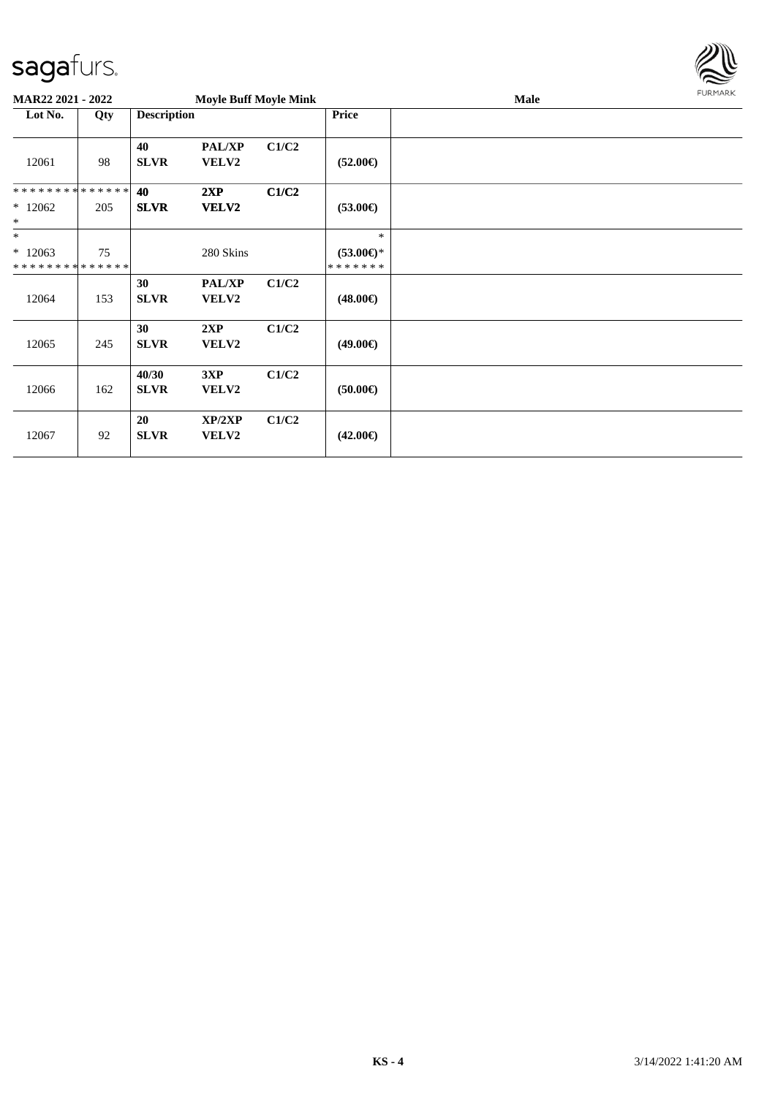

| MAR22 2021 - 2022                                 |     |                      | <b>Moyle Buff Moyle Mink</b>  |       |                                             | Male | FURMARK |
|---------------------------------------------------|-----|----------------------|-------------------------------|-------|---------------------------------------------|------|---------|
| Lot No.                                           | Qty | <b>Description</b>   |                               |       | Price                                       |      |         |
| 12061                                             | 98  | 40<br><b>SLVR</b>    | <b>PAL/XP</b><br>VELV2        | C1/C2 | $(52.00\epsilon)$                           |      |         |
| * * * * * * * * * * * * * *<br>$*12062$<br>$\ast$ | 205 | 40<br><b>SLVR</b>    | 2XP<br>VELV2                  | C1/C2 | $(53.00\epsilon)$                           |      |         |
| $\ast$<br>$*12063$<br>* * * * * * * * * * * * * * | 75  |                      | 280 Skins                     |       | $*$<br>$(53.00\epsilon)$ *<br>* * * * * * * |      |         |
| 12064                                             | 153 | 30<br><b>SLVR</b>    | <b>PAL/XP</b><br><b>VELV2</b> | C1/C2 | $(48.00\epsilon)$                           |      |         |
| 12065                                             | 245 | 30<br><b>SLVR</b>    | 2XP<br>VELV2                  | C1/C2 | $(49.00\epsilon)$                           |      |         |
| 12066                                             | 162 | 40/30<br><b>SLVR</b> | 3XP<br><b>VELV2</b>           | C1/C2 | $(50.00\epsilon)$                           |      |         |
| 12067                                             | 92  | 20<br><b>SLVR</b>    | XP/2XP<br>VELV2               | C1/C2 | $(42.00\epsilon)$                           |      |         |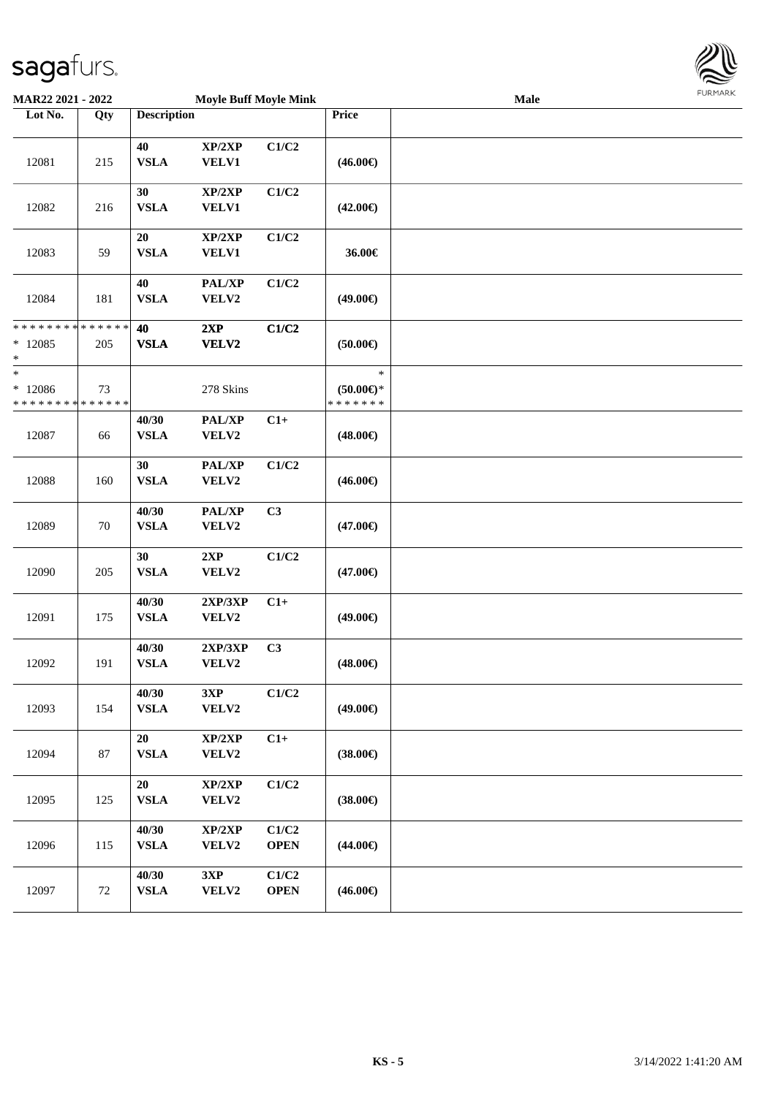

| <b>MAR22 2021 - 2022</b>                                         |     |                       | <b>Moyle Buff Moyle Mink</b> |                      | <b>LOKITAKV</b><br>Male                 |  |  |  |  |
|------------------------------------------------------------------|-----|-----------------------|------------------------------|----------------------|-----------------------------------------|--|--|--|--|
| Lot No.                                                          | Qty | <b>Description</b>    |                              |                      | Price                                   |  |  |  |  |
| 12081                                                            | 215 | 40<br><b>VSLA</b>     | XP/2XP<br><b>VELV1</b>       | C1/C2                | $(46.00\epsilon)$                       |  |  |  |  |
| 12082                                                            | 216 | 30<br><b>VSLA</b>     | XP/2XP<br><b>VELV1</b>       | C1/C2                | $(42.00\epsilon)$                       |  |  |  |  |
| 12083                                                            | 59  | 20<br>${\bf VSLA}$    | XP/2XP<br><b>VELV1</b>       | C1/C2                | 36.00€                                  |  |  |  |  |
| 12084                                                            | 181 | 40<br><b>VSLA</b>     | PAL/XP<br>VELV2              | C1/C2                | $(49.00\epsilon)$                       |  |  |  |  |
| * * * * * * * * <mark>* * * * * * *</mark><br>$*12085$<br>$\ast$ | 205 | 40<br><b>VSLA</b>     | 2XP<br>VELV2                 | C1/C2                | $(50.00\epsilon)$                       |  |  |  |  |
| $\ast$<br>$*12086$<br>* * * * * * * * * * * * * *                | 73  |                       | 278 Skins                    |                      | $\ast$<br>$(50.00ε)$ *<br>* * * * * * * |  |  |  |  |
| 12087                                                            | 66  | 40/30<br><b>VSLA</b>  | PAL/XP<br>VELV2              | $C1+$                | $(48.00\epsilon)$                       |  |  |  |  |
| 12088                                                            | 160 | 30<br><b>VSLA</b>     | PAL/XP<br>VELV2              | C1/C2                | $(46.00\epsilon)$                       |  |  |  |  |
| 12089                                                            | 70  | 40/30<br><b>VSLA</b>  | PAL/XP<br>VELV2              | C3                   | $(47.00\epsilon)$                       |  |  |  |  |
| 12090                                                            | 205 | 30<br><b>VSLA</b>     | 2XP<br>VELV2                 | C1/C2                | $(47.00\epsilon)$                       |  |  |  |  |
| 12091                                                            | 175 | 40/30<br><b>VSLA</b>  | 2XP/3XP<br>VELV2             | $C1+$                | $(49.00\epsilon)$                       |  |  |  |  |
| 12092                                                            | 191 | 40/30<br><b>VSLA</b>  | 2XP/3XP<br>VELV2             | C3                   | $(48.00\epsilon)$                       |  |  |  |  |
| 12093                                                            | 154 | 40/30<br><b>VSLA</b>  | 3XP<br>VELV2                 | C1/C2                | $(49.00\epsilon)$                       |  |  |  |  |
| 12094                                                            | 87  | 20<br><b>VSLA</b>     | XP/2XP<br>VELV2              | $C1+$                | $(38.00\epsilon)$                       |  |  |  |  |
| 12095                                                            | 125 | 20<br><b>VSLA</b>     | XP/2XP<br>VELV2              | C1/C2                | $(38.00\epsilon)$                       |  |  |  |  |
| 12096                                                            | 115 | 40/30<br><b>VSLA</b>  | XP/2XP<br>VELV2              | C1/C2<br><b>OPEN</b> | $(44.00\epsilon)$                       |  |  |  |  |
| 12097                                                            | 72  | 40/30<br>${\bf VSLA}$ | 3XP<br>VELV2                 | C1/C2<br><b>OPEN</b> | $(46.00\epsilon)$                       |  |  |  |  |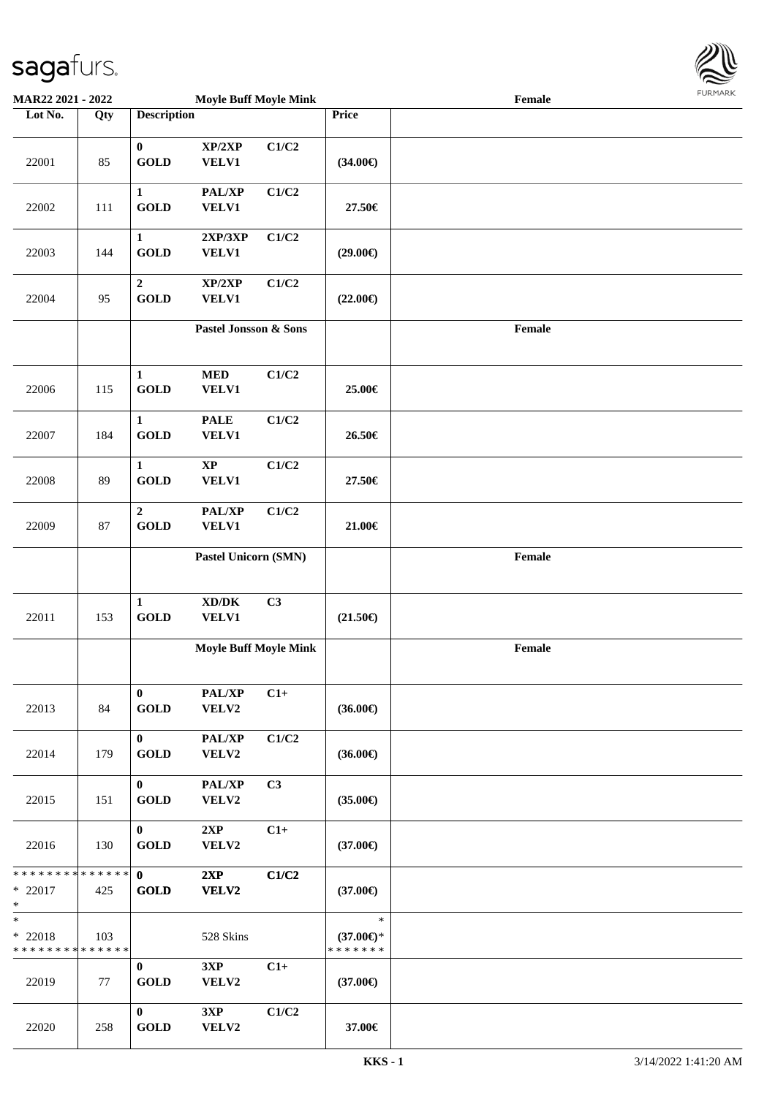

| <b>MAR22 2021 - 2022</b>                                        |        |                                       | <b>Moyle Buff Moyle Mink</b>                        |       |                                                | Female |  |
|-----------------------------------------------------------------|--------|---------------------------------------|-----------------------------------------------------|-------|------------------------------------------------|--------|--|
| Lot No.                                                         | Qty    | <b>Description</b>                    |                                                     |       | <b>Price</b>                                   |        |  |
| 22001                                                           | 85     | $\mathbf{0}$<br><b>GOLD</b>           | XP/2XP<br>VELV1                                     | C1/C2 | $(34.00\epsilon)$                              |        |  |
| 22002                                                           | 111    | $\mathbf{1}$<br><b>GOLD</b>           | PAL/XP<br><b>VELV1</b>                              | C1/C2 | 27.50€                                         |        |  |
| 22003                                                           | 144    | $\mathbf{1}$<br><b>GOLD</b>           | 2XP/3XP<br>VELV1                                    | C1/C2 | $(29.00\epsilon)$                              |        |  |
| 22004                                                           | 95     | $\boldsymbol{2}$<br><b>GOLD</b>       | XP/2XP<br>VELV1                                     | C1/C2 | $(22.00\epsilon)$                              |        |  |
|                                                                 |        |                                       | Pastel Jonsson & Sons                               |       |                                                | Female |  |
| 22006                                                           | 115    | $\mathbf{1}$<br><b>GOLD</b>           | <b>MED</b><br>VELV1                                 | C1/C2 | 25.00€                                         |        |  |
| 22007                                                           | 184    | $\mathbf{1}$<br><b>GOLD</b>           | <b>PALE</b><br><b>VELV1</b>                         | C1/C2 | 26.50€                                         |        |  |
| 22008                                                           | 89     | $\mathbf{1}$<br><b>GOLD</b>           | $\bold{XP}$<br><b>VELV1</b>                         | C1/C2 | 27.50€                                         |        |  |
| 22009                                                           | $87\,$ | $\boldsymbol{2}$<br><b>GOLD</b>       | PAL/XP<br>VELV1                                     | C1/C2 | 21.00€                                         |        |  |
|                                                                 |        |                                       | Pastel Unicorn (SMN)                                |       |                                                | Female |  |
| 22011                                                           | 153    | $\mathbf{1}$<br><b>GOLD</b>           | $\bold{X}\bold{D}/\bold{D}\bold{K}$<br><b>VELV1</b> | C3    | $(21.50\epsilon)$                              |        |  |
|                                                                 |        |                                       | <b>Moyle Buff Moyle Mink</b>                        |       |                                                | Female |  |
| 22013                                                           | 84     | $\mathbf{0}$<br>$\operatorname{GOLD}$ | PAL/XP<br>VELV2                                     | $C1+$ | $(36.00\epsilon)$                              |        |  |
| 22014                                                           | 179    | $\mathbf{0}$<br><b>GOLD</b>           | PAL/XP<br><b>VELV2</b>                              | C1/C2 | $(36.00\epsilon)$                              |        |  |
| 22015                                                           | 151    | $\mathbf{0}$<br><b>GOLD</b>           | PAL/XP<br>VELV2                                     | C3    | $(35.00\epsilon)$                              |        |  |
| 22016                                                           | 130    | $\mathbf{0}$<br><b>GOLD</b>           | 2XP<br>VELV2                                        | $C1+$ | $(37.00\epsilon)$                              |        |  |
| $*22017$<br>$\ast$                                              | 425    | <b>GOLD</b>                           | 2XP<br>VELV2                                        | C1/C2 | $(37.00\epsilon)$                              |        |  |
| $\ast$<br>$*$ 22018<br>* * * * * * * * <mark>* * * * * *</mark> | 103    |                                       | 528 Skins                                           |       | $\ast$<br>$(37.00\epsilon)$ *<br>* * * * * * * |        |  |
| 22019                                                           | 77     | $\mathbf{0}$<br><b>GOLD</b>           | 3XP<br>VELV2                                        | $C1+$ | $(37.00\epsilon)$                              |        |  |
| 22020                                                           | 258    | $\mathbf{0}$<br><b>GOLD</b>           | 3XP<br>VELV2                                        | C1/C2 | 37.00€                                         |        |  |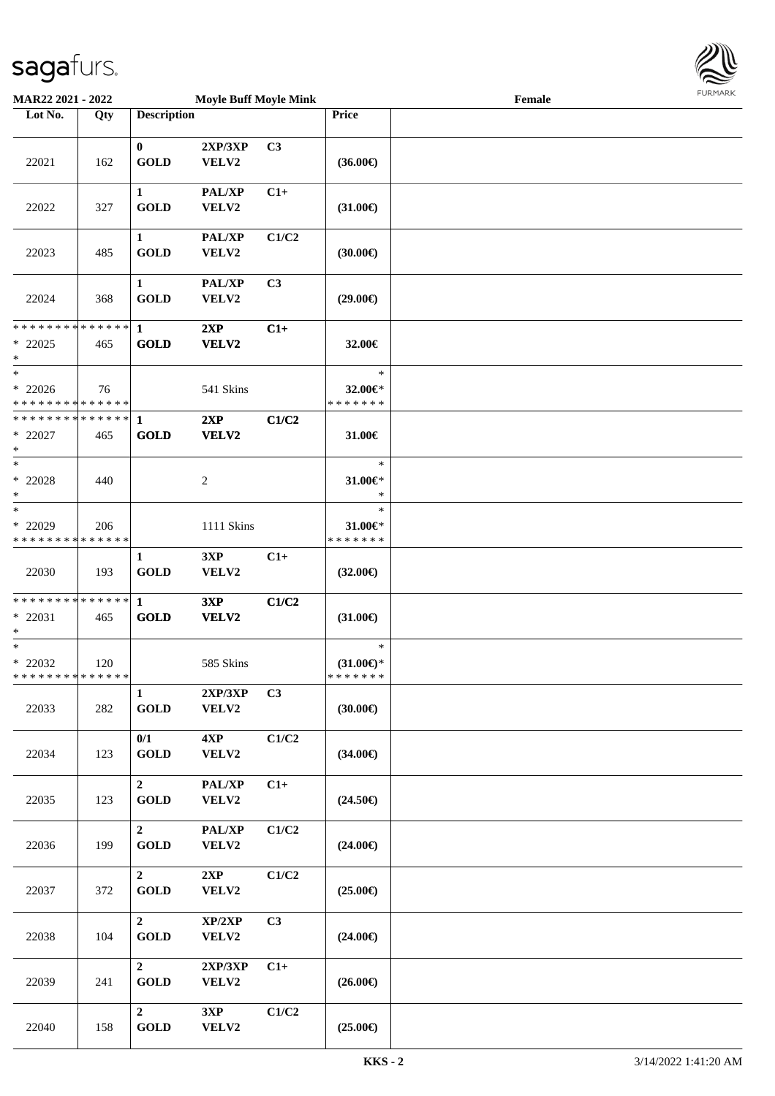

| <b>MAR22 2021 - 2022</b>                                          |     |                                         | <b>Moyle Buff Moyle Mink</b> |                |                                                | Female | <b>FUNITANN</b> |
|-------------------------------------------------------------------|-----|-----------------------------------------|------------------------------|----------------|------------------------------------------------|--------|-----------------|
| Lot No.                                                           | Qty | <b>Description</b>                      |                              |                | Price                                          |        |                 |
| 22021                                                             | 162 | $\mathbf{0}$<br><b>GOLD</b>             | 2XP/3XP<br>VELV2             | C <sub>3</sub> | $(36.00\epsilon)$                              |        |                 |
| 22022                                                             | 327 | $\mathbf{1}$<br><b>GOLD</b>             | PAL/XP<br>VELV2              | $C1+$          | $(31.00\epsilon)$                              |        |                 |
| 22023                                                             | 485 | $\mathbf{1}$<br><b>GOLD</b>             | PAL/XP<br>VELV2              | C1/C2          | $(30.00\epsilon)$                              |        |                 |
| 22024                                                             | 368 | $\mathbf{1}$<br><b>GOLD</b>             | <b>PAL/XP</b><br>VELV2       | C <sub>3</sub> | $(29.00\epsilon)$                              |        |                 |
| * * * * * * * * <mark>* * * * * * *</mark><br>$*$ 22025<br>$\ast$ | 465 | $\mathbf{1}$<br><b>GOLD</b>             | 2XP<br>VELV2                 | $C1+$          | 32.00€                                         |        |                 |
| $*$<br>$* 22026$<br>* * * * * * * * * * * * * *                   | 76  |                                         | 541 Skins                    |                | $\ast$<br>32.00€*<br>* * * * * * *             |        |                 |
| * * * * * * * * <mark>* * * * * * *</mark><br>$*$ 22027<br>$\ast$ | 465 | $\mathbf{1}$<br><b>GOLD</b>             | 2XP<br>VELV2                 | C1/C2          | 31.00€                                         |        |                 |
| $*$<br>$* 22028$<br>$*$                                           | 440 |                                         | 2                            |                | $\ast$<br>$31.00 \in$<br>$\ast$                |        |                 |
| $*$<br>$*$ 22029<br>* * * * * * * * * * * * * *                   | 206 |                                         | 1111 Skins                   |                | $\ast$<br>31.00€*<br>* * * * * * *             |        |                 |
| 22030                                                             | 193 | $\mathbf{1}$<br><b>GOLD</b>             | 3XP<br>VELV2                 | $C1+$          | $(32.00\epsilon)$                              |        |                 |
| * * * * * * * * * * * * * *<br>* 22031<br>$*$                     | 465 | $\mathbf{1}$<br><b>GOLD</b>             | 3XP<br>VELV2                 | C1/C2          | $(31.00\epsilon)$                              |        |                 |
| $*$<br>$*22032$<br>* * * * * * * * <mark>* * * * * *</mark> *     | 120 |                                         | 585 Skins                    |                | $\ast$<br>$(31.00\epsilon)$ *<br>* * * * * * * |        |                 |
| 22033                                                             | 282 | $\mathbf{1}$<br>GOLD                    | 2XP/3XP<br>VELV2             | C3             | $(30.00\epsilon)$                              |        |                 |
| 22034                                                             | 123 | 0/1<br><b>GOLD</b>                      | 4XP<br>VELV2                 | C1/C2          | $(34.00\epsilon)$                              |        |                 |
| 22035                                                             | 123 | $\overline{2}$<br>GOLD                  | PAL/XP<br>VELV2              | $C1+$          | $(24.50\epsilon)$                              |        |                 |
| 22036                                                             | 199 | $\overline{2}$<br>GOLD                  | PAL/XP<br>VELV2              | C1/C2          | $(24.00\epsilon)$                              |        |                 |
| 22037                                                             | 372 | $\overline{2}$<br><b>GOLD</b>           | 2XP<br>VELV2                 | C1/C2          | $(25.00\epsilon)$                              |        |                 |
| 22038                                                             | 104 | $\overline{2}$<br><b>GOLD</b>           | XP/2XP<br>VELV2              | C3             | $(24.00\epsilon)$                              |        |                 |
| 22039                                                             | 241 | $\overline{2}$<br><b>GOLD</b>           | 2XP/3XP<br>VELV2             | $C1+$          | $(26.00\epsilon)$                              |        |                 |
| 22040                                                             | 158 | $\overline{2}$<br>$\operatorname{GOLD}$ | 3XP<br>VELV2                 | C1/C2          | $(25.00\epsilon)$                              |        |                 |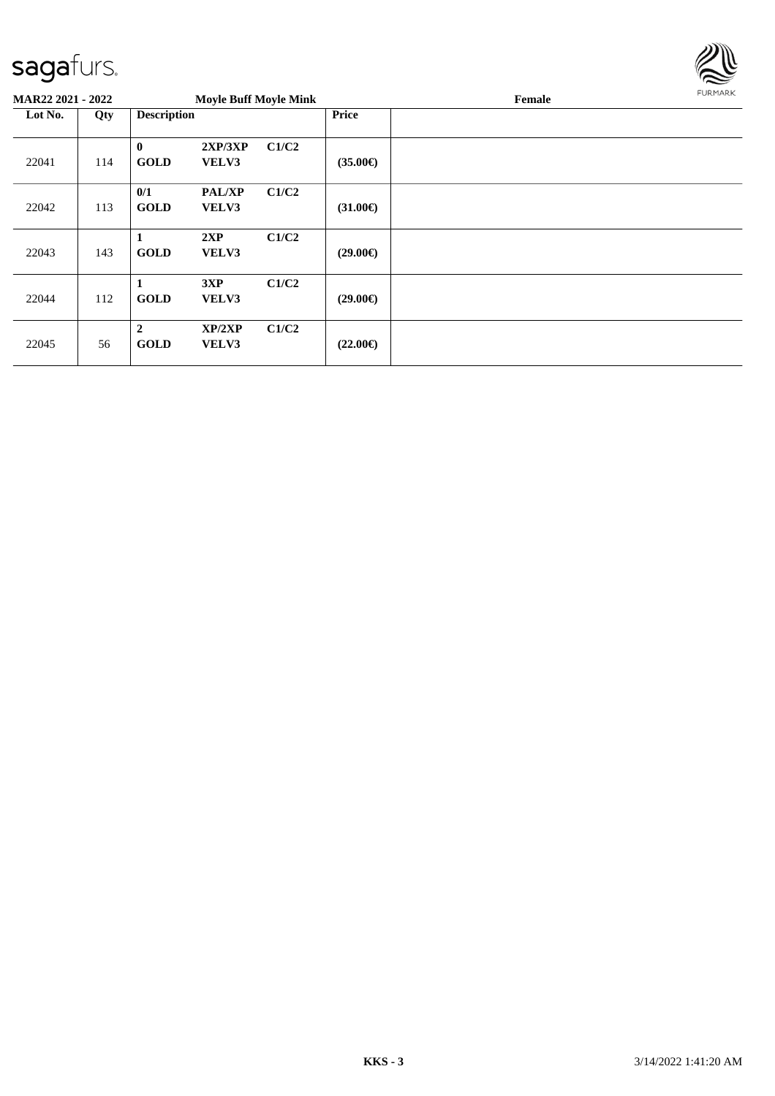

| MAR22 2021 - 2022 |     |                               | <b>Moyle Buff Moyle Mink</b> |       |                   | Female |  |  |
|-------------------|-----|-------------------------------|------------------------------|-------|-------------------|--------|--|--|
| Lot No.           | Qty | <b>Description</b>            |                              |       | <b>Price</b>      |        |  |  |
| 22041             | 114 | $\bf{0}$<br><b>GOLD</b>       | 2XP/3XP<br>VELV3             | C1/C2 | $(35.00\epsilon)$ |        |  |  |
| 22042             | 113 | 0/1<br><b>GOLD</b>            | <b>PAL/XP</b><br>VELV3       | C1/C2 | $(31.00\epsilon)$ |        |  |  |
| 22043             | 143 | 1<br><b>GOLD</b>              | 2XP<br>VELV3                 | C1/C2 | $(29.00\epsilon)$ |        |  |  |
| 22044             | 112 | 1<br><b>GOLD</b>              | 3XP<br>VELV3                 | C1/C2 | $(29.00\epsilon)$ |        |  |  |
| 22045             | 56  | $\overline{2}$<br><b>GOLD</b> | XP/2XP<br>VELV3              | C1/C2 | $(22.00\epsilon)$ |        |  |  |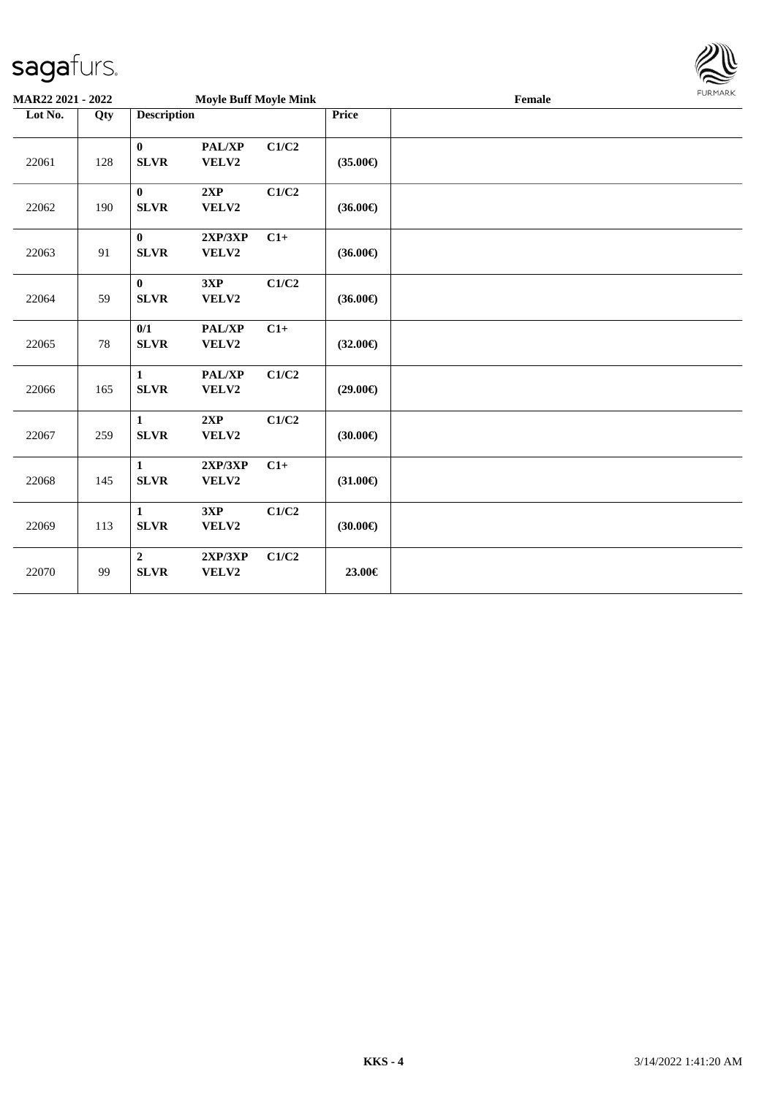

| MAR22 2021 - 2022 |        |                               | <b>Moyle Buff Moyle Mink</b> |       |                   | Female | <b>FURMARK</b> |
|-------------------|--------|-------------------------------|------------------------------|-------|-------------------|--------|----------------|
| Lot No.           | Qty    | <b>Description</b>            |                              |       | Price             |        |                |
| 22061             | 128    | $\bf{0}$<br><b>SLVR</b>       | PAL/XP<br>VELV2              | C1/C2 | $(35.00\epsilon)$ |        |                |
| 22062             | 190    | $\bf{0}$<br><b>SLVR</b>       | 2XP<br>VELV2                 | C1/C2 | $(36.00\epsilon)$ |        |                |
| 22063             | 91     | $\bf{0}$<br><b>SLVR</b>       | 2XP/3XP<br>VELV2             | $C1+$ | $(36.00\epsilon)$ |        |                |
| 22064             | 59     | $\mathbf{0}$<br><b>SLVR</b>   | 3XP<br>VELV2                 | C1/C2 | $(36.00\epsilon)$ |        |                |
| 22065             | $78\,$ | 0/1<br><b>SLVR</b>            | PAL/XP<br>VELV2              | $C1+$ | $(32.00\epsilon)$ |        |                |
| 22066             | 165    | 1<br><b>SLVR</b>              | PAL/XP<br>VELV2              | C1/C2 | $(29.00\epsilon)$ |        |                |
| 22067             | 259    | $\mathbf{1}$<br><b>SLVR</b>   | 2XP<br>VELV2                 | C1/C2 | $(30.00\epsilon)$ |        |                |
| 22068             | 145    | $\mathbf{1}$<br><b>SLVR</b>   | 2XP/3XP<br>VELV2             | $C1+$ | $(31.00\epsilon)$ |        |                |
| 22069             | 113    | $\mathbf{1}$<br><b>SLVR</b>   | 3XP<br>VELV2                 | C1/C2 | $(30.00\epsilon)$ |        |                |
| 22070             | 99     | $\overline{2}$<br><b>SLVR</b> | 2XP/3XP<br>VELV2             | C1/C2 | 23.00€            |        |                |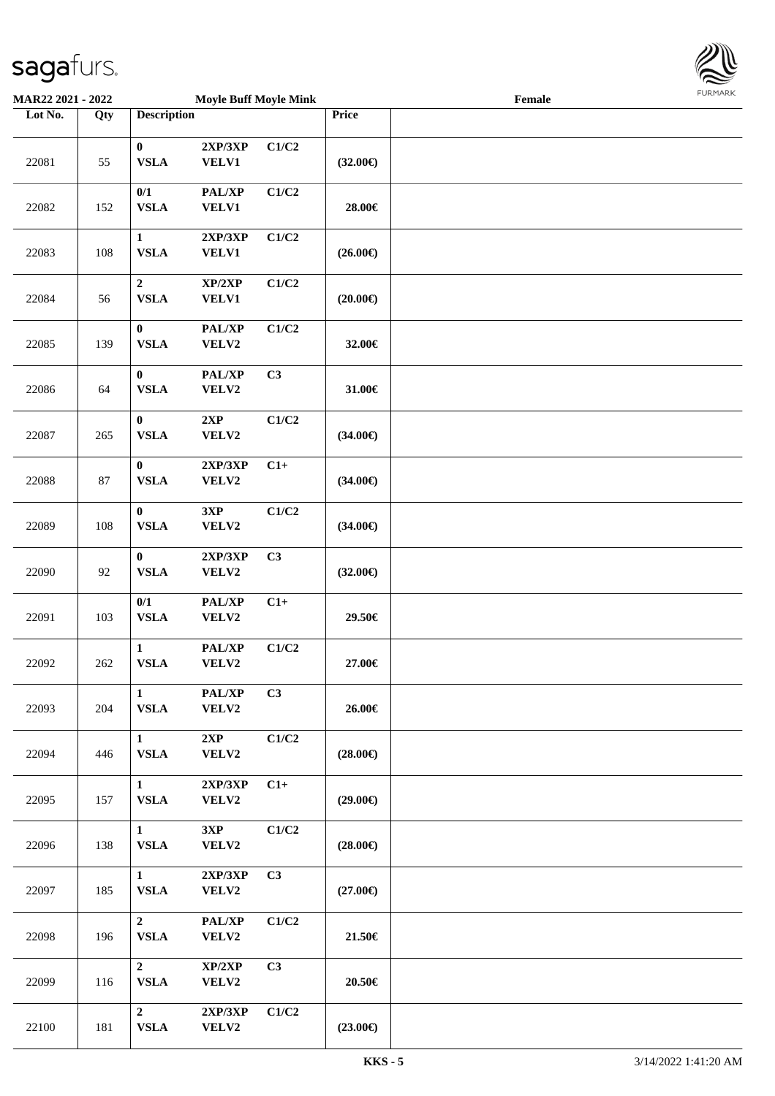

| <b>MAR22 2021 - 2022</b> |     |                                 | <b>Moyle Buff Moyle Mink</b> |       |                   | Female |  |
|--------------------------|-----|---------------------------------|------------------------------|-------|-------------------|--------|--|
| Lot No.                  | Qty | <b>Description</b>              |                              |       | <b>Price</b>      |        |  |
| 22081                    | 55  | $\bf{0}$<br><b>VSLA</b>         | 2XP/3XP<br><b>VELV1</b>      | C1/C2 | $(32.00\epsilon)$ |        |  |
| 22082                    | 152 | 0/1<br>${\bf VSLA}$             | PAL/XP<br><b>VELV1</b>       | C1/C2 | 28.00€            |        |  |
| 22083                    | 108 | $\mathbf{1}$<br><b>VSLA</b>     | 2XP/3XP<br><b>VELV1</b>      | C1/C2 | $(26.00\epsilon)$ |        |  |
| 22084                    | 56  | $\boldsymbol{2}$<br><b>VSLA</b> | XP/2XP<br><b>VELV1</b>       | C1/C2 | $(20.00\epsilon)$ |        |  |
| 22085                    | 139 | $\bf{0}$<br><b>VSLA</b>         | PAL/XP<br>VELV2              | C1/C2 | 32.00€            |        |  |
| 22086                    | 64  | $\bf{0}$<br><b>VSLA</b>         | PAL/XP<br>VELV2              | C3    | 31.00€            |        |  |
| 22087                    | 265 | $\bf{0}$<br>${\bf VSLA}$        | 2XP<br>VELV2                 | C1/C2 | $(34.00\epsilon)$ |        |  |
| 22088                    | 87  | $\bf{0}$<br>${\bf VSLA}$        | 2XP/3XP<br>VELV2             | $C1+$ | $(34.00\epsilon)$ |        |  |
| 22089                    | 108 | $\bf{0}$<br><b>VSLA</b>         | 3XP<br>VELV2                 | C1/C2 | $(34.00\epsilon)$ |        |  |
| 22090                    | 92  | $\bf{0}$<br>${\bf VSLA}$        | 2XP/3XP<br>VELV2             | C3    | $(32.00\epsilon)$ |        |  |
| 22091                    | 103 | 0/1<br>${\bf VSLA}$             | PAL/XP<br>VELV2              | $C1+$ | 29.50€            |        |  |
| 22092                    | 262 | $\mathbf{1}$<br>${\bf VSLA}$    | PAL/XP<br>VELV2              | C1/C2 | 27.00€            |        |  |
| 22093                    | 204 | $\mathbf{1}$<br><b>VSLA</b>     | PAL/XP<br>VELV2              | C3    | 26.00€            |        |  |
| 22094                    | 446 | $\mathbf{1}$<br><b>VSLA</b>     | 2XP<br>VELV2                 | C1/C2 | $(28.00\epsilon)$ |        |  |
| 22095                    | 157 | $\mathbf{1}$<br><b>VSLA</b>     | 2XP/3XP<br>VELV2             | $C1+$ | $(29.00\epsilon)$ |        |  |
| 22096                    | 138 | $\mathbf{1}$<br>${\bf VSLA}$    | 3XP<br>VELV2                 | C1/C2 | $(28.00\epsilon)$ |        |  |
| 22097                    | 185 | $\mathbf{1}$<br>${\bf VSLA}$    | 2XP/3XP<br>VELV2             | C3    | $(27.00\epsilon)$ |        |  |
| 22098                    | 196 | $\overline{2}$<br><b>VSLA</b>   | PAL/XP<br>VELV2              | C1/C2 | 21.50€            |        |  |
| 22099                    | 116 | $\overline{2}$<br>${\bf VSLA}$  | XP/2XP<br>VELV2              | C3    | 20.50€            |        |  |
| 22100                    | 181 | $\overline{2}$<br>${\bf VSLA}$  | 2XP/3XP<br>VELV2             | C1/C2 | $(23.00\epsilon)$ |        |  |